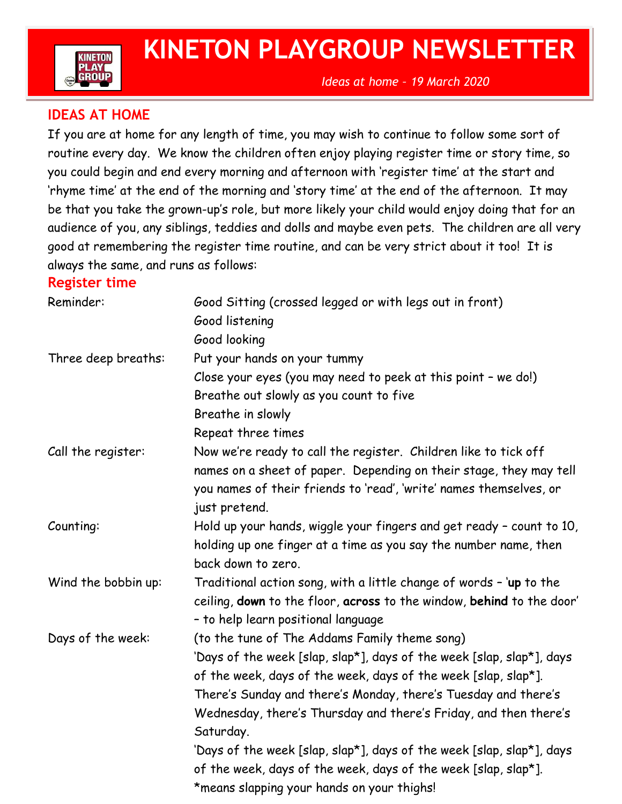

## **KINETON PLAYGROUP NEWSLETTER**

## **IDEAS AT HOME**

If you are at home for any length of time, you may wish to continue to follow some sort of routine every day. We know the children often enjoy playing register time or story time, so you could begin and end every morning and afternoon with 'register time' at the start and 'rhyme time' at the end of the morning and 'story time' at the end of the afternoon. It may be that you take the grown-up's role, but more likely your child would enjoy doing that for an audience of you, any siblings, teddies and dolls and maybe even pets. The children are all very good at remembering the register time routine, and can be very strict about it too! It is always the same, and runs as follows:

## **Register time**

| Reminder:           | Good Sitting (crossed legged or with legs out in front)               |
|---------------------|-----------------------------------------------------------------------|
|                     | Good listening                                                        |
|                     | Good looking                                                          |
| Three deep breaths: | Put your hands on your tummy                                          |
|                     | Close your eyes (you may need to peek at this point - we do!)         |
|                     | Breathe out slowly as you count to five                               |
|                     | Breathe in slowly                                                     |
|                     | Repeat three times                                                    |
| Call the register:  | Now we're ready to call the register. Children like to tick off       |
|                     | names on a sheet of paper. Depending on their stage, they may tell    |
|                     | you names of their friends to 'read', 'write' names themselves, or    |
|                     | just pretend.                                                         |
| Counting:           | Hold up your hands, wiggle your fingers and get ready - count to 10,  |
|                     | holding up one finger at a time as you say the number name, then      |
|                     | back down to zero.                                                    |
| Wind the bobbin up: | Traditional action song, with a little change of words - 'up to the   |
|                     | ceiling, down to the floor, across to the window, behind to the door' |
|                     | - to help learn positional language                                   |
| Days of the week:   | (to the tune of The Addams Family theme song)                         |
|                     | 'Days of the week [slap, slap*], days of the week [slap, slap*], days |
|                     | of the week, days of the week, days of the week [slap, slap*].        |
|                     | There's Sunday and there's Monday, there's Tuesday and there's        |
|                     | Wednesday, there's Thursday and there's Friday, and then there's      |
|                     | Saturday.                                                             |
|                     | 'Days of the week [slap, slap*], days of the week [slap, slap*], days |
|                     | of the week, days of the week, days of the week [slap, slap*].        |
|                     | *means slapping your hands on your thighs!                            |